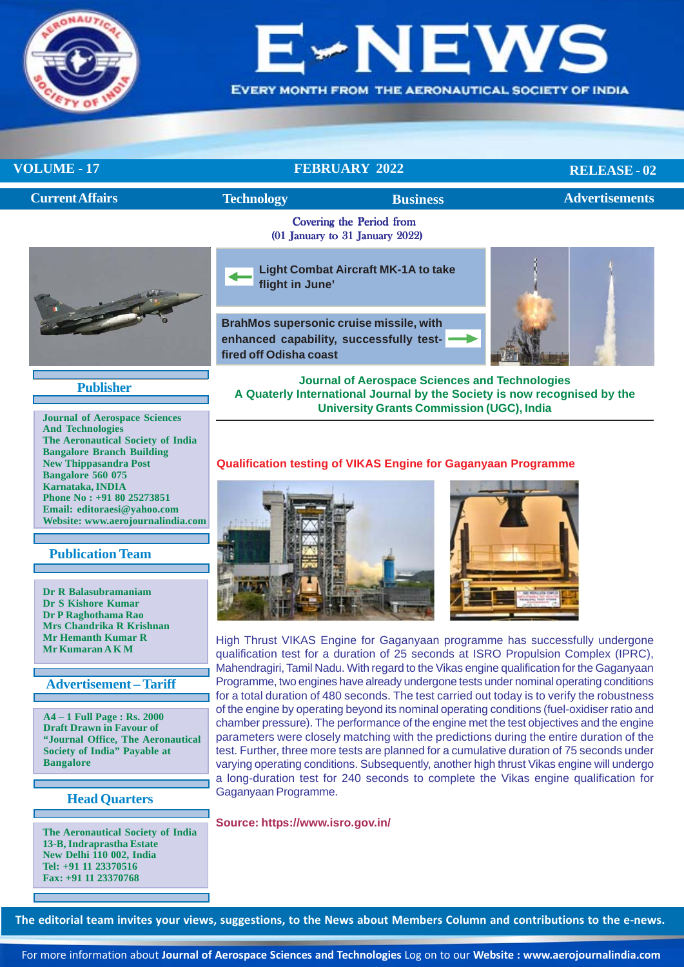

# VE

**EVERY MONTH FROM THE AERONAUTICAL SOCIETY OF INDIA** 

**VOLUME - 17** FEBRUARY 2022

**RELEASE - 02**

| <b>Current Affairs</b> | <b>Technology</b> | <b>Business</b>                                             | <b>Advertisements</b> |
|------------------------|-------------------|-------------------------------------------------------------|-----------------------|
|                        |                   | Covering the Period from<br>(01 January to 31 January 2022) |                       |
|                        | flight in June'   | <b>Light Combat Aircraft MK-1A to take</b>                  |                       |

**BrahMos supersonic cruise missile, with [enhanced capability, successfully test](#page-7-0)fired off Odisha coast**



**Publisher**

**Journal of Aerospace Sciences And Technologies The Aeronautical Society of India Bangalore Branch Building New Thippasandra Post Bangalore 560 075 Karnataka, INDIA Phone No : +91 80 25273851 Email: editoraesi@yahoo.com Website: www.aerojournalindia.com**

### **Publication Team**

**Dr R Balasubramaniam Dr S Kishore Kumar Dr P Raghothama Rao Mrs Chandrika R Krishnan Mr Hemanth Kumar R Mr Kumaran A K M**

### **Advertisement – Tariff**

**A4 – 1 Full Page : Rs. 2000 Draft Drawn in Favour of "Journal Office, The Aeronautical Society of India" Payable at Bangalore**

**Head Quarters**

**The Aeronautical Society of India 13-B, Indraprastha Estate New Delhi 110 002, India Tel: +91 11 23370516 Fax: +91 11 23370768**

### **A Quaterly International Journal by the Society is now recognised by the University Grants Commission (UGC), India**

**Journal of Aerospace Sciences and Technologies**

### **Qualification testing of VIKAS Engine for Gaganyaan Programme**





High Thrust VIKAS Engine for Gaganyaan programme has successfully undergone qualification test for a duration of 25 seconds at ISRO Propulsion Complex (IPRC), Mahendragiri, Tamil Nadu. With regard to the Vikas engine qualification for the Gaganyaan Programme, two engines have already undergone tests under nominal operating conditions for a total duration of 480 seconds. The test carried out today is to verify the robustness of the engine by operating beyond its nominal operating conditions (fuel-oxidiser ratio and chamber pressure). The performance of the engine met the test objectives and the engine parameters were closely matching with the predictions during the entire duration of the test. Further, three more tests are planned for a cumulative duration of 75 seconds under varying operating conditions. Subsequently, another high thrust Vikas engine will undergo a long-duration test for 240 seconds to complete the Vikas engine qualification for Gaganyaan Programme.

**Source: https://www.isro.gov.in/**

**The editorial team invites your views, suggestions, to the News about Members Column and contributions to the e-news.**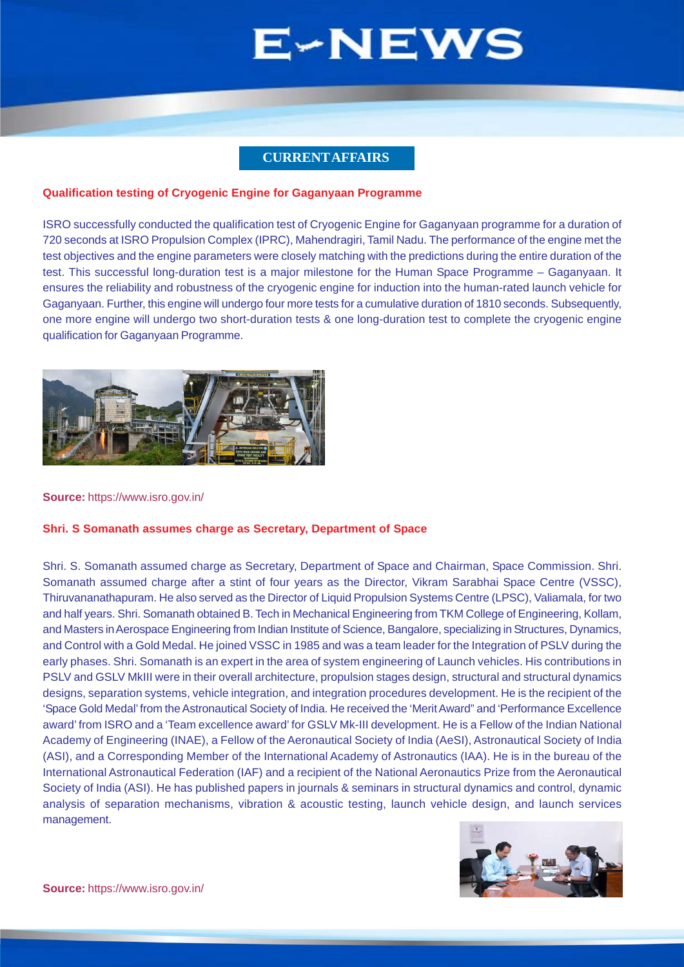### **CURRENT AFFAIRS**

### <span id="page-1-0"></span>**Qualification testing of Cryogenic Engine for Gaganyaan Programme**

ISRO successfully conducted the qualification test of Cryogenic Engine for Gaganyaan programme for a duration of 720 seconds at ISRO Propulsion Complex (IPRC), Mahendragiri, Tamil Nadu. The performance of the engine met the test objectives and the engine parameters were closely matching with the predictions during the entire duration of the test. This successful long-duration test is a major milestone for the Human Space Programme – Gaganyaan. It ensures the reliability and robustness of the cryogenic engine for induction into the human-rated launch vehicle for Gaganyaan. Further, this engine will undergo four more tests for a cumulative duration of 1810 seconds. Subsequently, one more engine will undergo two short-duration tests & one long-duration test to complete the cryogenic engine qualification for Gaganyaan Programme.



#### **Source:** https://www.isro.gov.in/

### **Shri. S Somanath assumes charge as Secretary, Department of Space**

Shri. S. Somanath assumed charge as Secretary, Department of Space and Chairman, Space Commission. Shri. Somanath assumed charge after a stint of four years as the Director, Vikram Sarabhai Space Centre (VSSC), Thiruvananathapuram. He also served as the Director of Liquid Propulsion Systems Centre (LPSC), Valiamala, for two and half years. Shri. Somanath obtained B. Tech in Mechanical Engineering from TKM College of Engineering, Kollam, and Masters in Aerospace Engineering from Indian Institute of Science, Bangalore, specializing in Structures, Dynamics, and Control with a Gold Medal. He joined VSSC in 1985 and was a team leader for the Integration of PSLV during the early phases. Shri. Somanath is an expert in the area of system engineering of Launch vehicles. His contributions in PSLV and GSLV MkIII were in their overall architecture, propulsion stages design, structural and structural dynamics designs, separation systems, vehicle integration, and integration procedures development. He is the recipient of the 'Space Gold Medal' from the Astronautical Society of India. He received the 'Merit Award" and 'Performance Excellence award' from ISRO and a 'Team excellence award' for GSLV Mk-III development. He is a Fellow of the Indian National Academy of Engineering (INAE), a Fellow of the Aeronautical Society of India (AeSI), Astronautical Society of India (ASI), and a Corresponding Member of the International Academy of Astronautics (IAA). He is in the bureau of the International Astronautical Federation (IAF) and a recipient of the National Aeronautics Prize from the Aeronautical Society of India (ASI). He has published papers in journals & seminars in structural dynamics and control, dynamic analysis of separation mechanisms, vibration & acoustic testing, launch vehicle design, and launch services management.

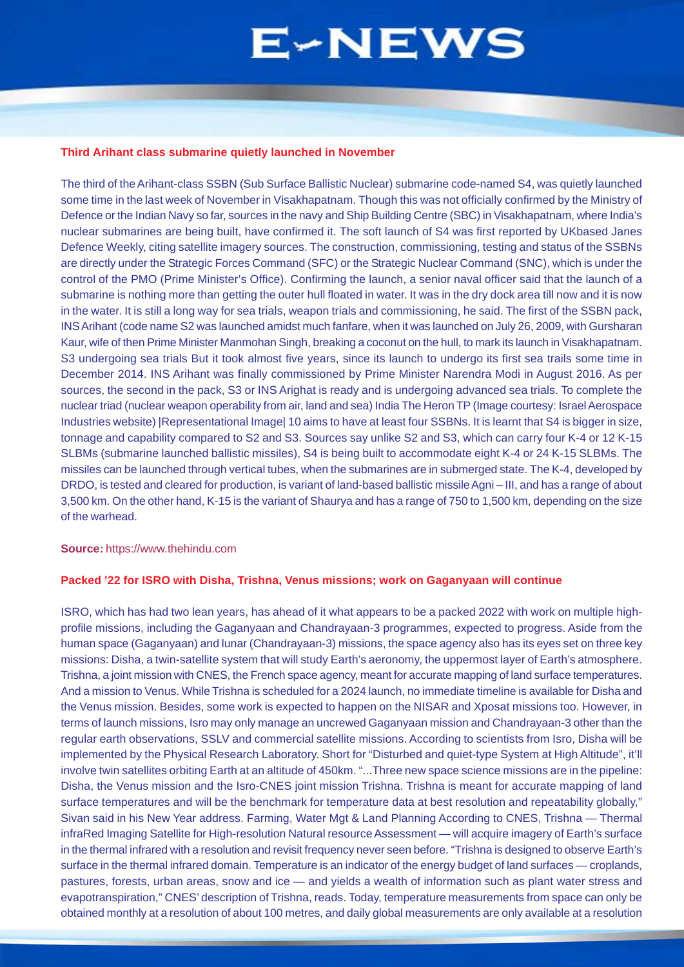#### **Third Arihant class submarine quietly launched in November**

The third of the Arihant-class SSBN (Sub Surface Ballistic Nuclear) submarine code-named S4, was quietly launched some time in the last week of November in Visakhapatnam. Though this was not officially confirmed by the Ministry of Defence or the Indian Navy so far, sources in the navy and Ship Building Centre (SBC) in Visakhapatnam, where India's nuclear submarines are being built, have confirmed it. The soft launch of S4 was first reported by UKbased Janes Defence Weekly, citing satellite imagery sources. The construction, commissioning, testing and status of the SSBNs are directly under the Strategic Forces Command (SFC) or the Strategic Nuclear Command (SNC), which is under the control of the PMO (Prime Minister's Office). Confirming the launch, a senior naval officer said that the launch of a submarine is nothing more than getting the outer hull floated in water. It was in the dry dock area till now and it is now in the water. It is still a long way for sea trials, weapon trials and commissioning, he said. The first of the SSBN pack, INS Arihant (code name S2 was launched amidst much fanfare, when it was launched on July 26, 2009, with Gursharan Kaur, wife of then Prime Minister Manmohan Singh, breaking a coconut on the hull, to mark its launch in Visakhapatnam. S3 undergoing sea trials But it took almost five years, since its launch to undergo its first sea trails some time in December 2014. INS Arihant was finally commissioned by Prime Minister Narendra Modi in August 2016. As per sources, the second in the pack, S3 or INS Arighat is ready and is undergoing advanced sea trials. To complete the nuclear triad (nuclear weapon operability from air, land and sea) India The Heron TP (Image courtesy: Israel Aerospace Industries website) |Representational Image| 10 aims to have at least four SSBNs. It is learnt that S4 is bigger in size, tonnage and capability compared to S2 and S3. Sources say unlike S2 and S3, which can carry four K-4 or 12 K-15 SLBMs (submarine launched ballistic missiles), S4 is being built to accommodate eight K-4 or 24 K-15 SLBMs. The missiles can be launched through vertical tubes, when the submarines are in submerged state. The K-4, developed by DRDO, is tested and cleared for production, is variant of land-based ballistic missile Agni – III, and has a range of about 3,500 km. On the other hand, K-15 is the variant of Shaurya and has a range of 750 to 1,500 km, depending on the size of the warhead.

#### **Source:** https://www.thehindu.com

### **Packed '22 for ISRO with Disha, Trishna, Venus missions; work on Gaganyaan will continue**

ISRO, which has had two lean years, has ahead of it what appears to be a packed 2022 with work on multiple highprofile missions, including the Gaganyaan and Chandrayaan-3 programmes, expected to progress. Aside from the human space (Gaganyaan) and lunar (Chandrayaan-3) missions, the space agency also has its eyes set on three key missions: Disha, a twin-satellite system that will study Earth's aeronomy, the uppermost layer of Earth's atmosphere. Trishna, a joint mission with CNES, the French space agency, meant for accurate mapping of land surface temperatures. And a mission to Venus. While Trishna is scheduled for a 2024 launch, no immediate timeline is available for Disha and the Venus mission. Besides, some work is expected to happen on the NISAR and Xposat missions too. However, in terms of launch missions, Isro may only manage an uncrewed Gaganyaan mission and Chandrayaan-3 other than the regular earth observations, SSLV and commercial satellite missions. According to scientists from Isro, Disha will be implemented by the Physical Research Laboratory. Short for "Disturbed and quiet-type System at High Altitude", it'll involve twin satellites orbiting Earth at an altitude of 450km. "...Three new space science missions are in the pipeline: Disha, the Venus mission and the Isro-CNES joint mission Trishna. Trishna is meant for accurate mapping of land surface temperatures and will be the benchmark for temperature data at best resolution and repeatability globally," Sivan said in his New Year address. Farming, Water Mgt & Land Planning According to CNES, Trishna — Thermal infraRed Imaging Satellite for High-resolution Natural resource Assessment — will acquire imagery of Earth's surface in the thermal infrared with a resolution and revisit frequency never seen before. "Trishna is designed to observe Earth's surface in the thermal infrared domain. Temperature is an indicator of the energy budget of land surfaces — croplands, pastures, forests, urban areas, snow and ice — and yields a wealth of information such as plant water stress and evapotranspiration," CNES' description of Trishna, reads. Today, temperature measurements from space can only be obtained monthly at a resolution of about 100 metres, and daily global measurements are only available at a resolution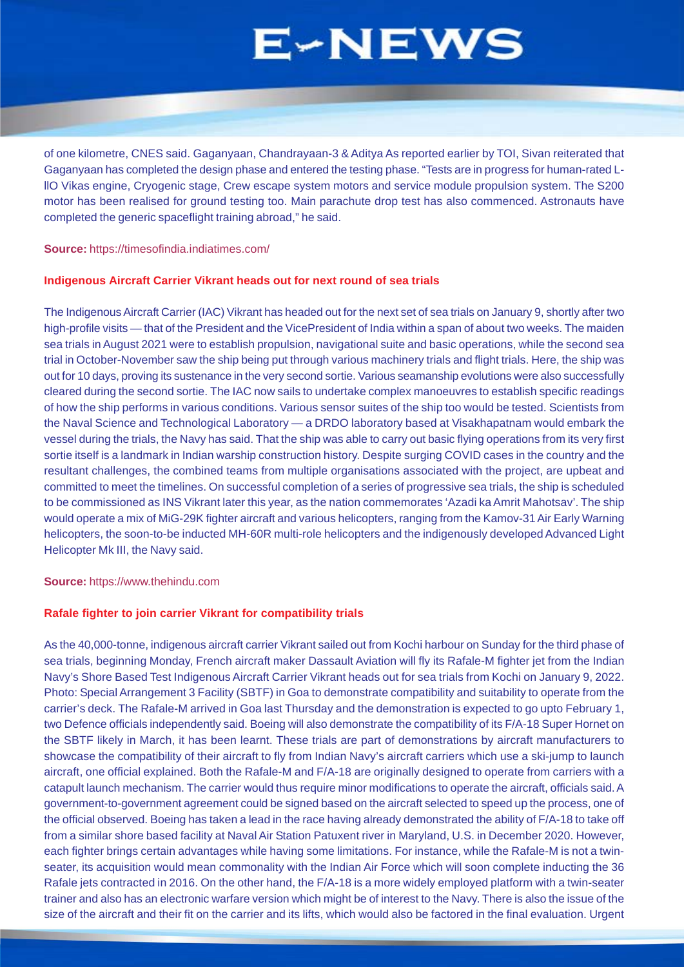of one kilometre, CNES said. Gaganyaan, Chandrayaan-3 & Aditya As reported earlier by TOI, Sivan reiterated that Gaganyaan has completed the design phase and entered the testing phase. "Tests are in progress for human-rated LllO Vikas engine, Cryogenic stage, Crew escape system motors and service module propulsion system. The S200 motor has been realised for ground testing too. Main parachute drop test has also commenced. Astronauts have completed the generic spaceflight training abroad," he said.

**Source:** https://timesofindia.indiatimes.com/

### **Indigenous Aircraft Carrier Vikrant heads out for next round of sea trials**

The Indigenous Aircraft Carrier (IAC) Vikrant has headed out for the next set of sea trials on January 9, shortly after two high-profile visits — that of the President and the VicePresident of India within a span of about two weeks. The maiden sea trials in August 2021 were to establish propulsion, navigational suite and basic operations, while the second sea trial in October-November saw the ship being put through various machinery trials and flight trials. Here, the ship was out for 10 days, proving its sustenance in the very second sortie. Various seamanship evolutions were also successfully cleared during the second sortie. The IAC now sails to undertake complex manoeuvres to establish specific readings of how the ship performs in various conditions. Various sensor suites of the ship too would be tested. Scientists from the Naval Science and Technological Laboratory — a DRDO laboratory based at Visakhapatnam would embark the vessel during the trials, the Navy has said. That the ship was able to carry out basic flying operations from its very first sortie itself is a landmark in Indian warship construction history. Despite surging COVID cases in the country and the resultant challenges, the combined teams from multiple organisations associated with the project, are upbeat and committed to meet the timelines. On successful completion of a series of progressive sea trials, the ship is scheduled to be commissioned as INS Vikrant later this year, as the nation commemorates 'Azadi ka Amrit Mahotsav'. The ship would operate a mix of MiG-29K fighter aircraft and various helicopters, ranging from the Kamov-31 Air Early Warning helicopters, the soon-to-be inducted MH-60R multi-role helicopters and the indigenously developed Advanced Light Helicopter Mk III, the Navy said.

**Source:** https://www.thehindu.com

### **Rafale fighter to join carrier Vikrant for compatibility trials**

As the 40,000-tonne, indigenous aircraft carrier Vikrant sailed out from Kochi harbour on Sunday for the third phase of sea trials, beginning Monday, French aircraft maker Dassault Aviation will fly its Rafale-M fighter jet from the Indian Navy's Shore Based Test Indigenous Aircraft Carrier Vikrant heads out for sea trials from Kochi on January 9, 2022. Photo: Special Arrangement 3 Facility (SBTF) in Goa to demonstrate compatibility and suitability to operate from the carrier's deck. The Rafale-M arrived in Goa last Thursday and the demonstration is expected to go upto February 1, two Defence officials independently said. Boeing will also demonstrate the compatibility of its F/A-18 Super Hornet on the SBTF likely in March, it has been learnt. These trials are part of demonstrations by aircraft manufacturers to showcase the compatibility of their aircraft to fly from Indian Navy's aircraft carriers which use a ski-jump to launch aircraft, one official explained. Both the Rafale-M and F/A-18 are originally designed to operate from carriers with a catapult launch mechanism. The carrier would thus require minor modifications to operate the aircraft, officials said. A government-to-government agreement could be signed based on the aircraft selected to speed up the process, one of the official observed. Boeing has taken a lead in the race having already demonstrated the ability of F/A-18 to take off from a similar shore based facility at Naval Air Station Patuxent river in Maryland, U.S. in December 2020. However, each fighter brings certain advantages while having some limitations. For instance, while the Rafale-M is not a twinseater, its acquisition would mean commonality with the Indian Air Force which will soon complete inducting the 36 Rafale jets contracted in 2016. On the other hand, the F/A-18 is a more widely employed platform with a twin-seater trainer and also has an electronic warfare version which might be of interest to the Navy. There is also the issue of the size of the aircraft and their fit on the carrier and its lifts, which would also be factored in the final evaluation. Urgent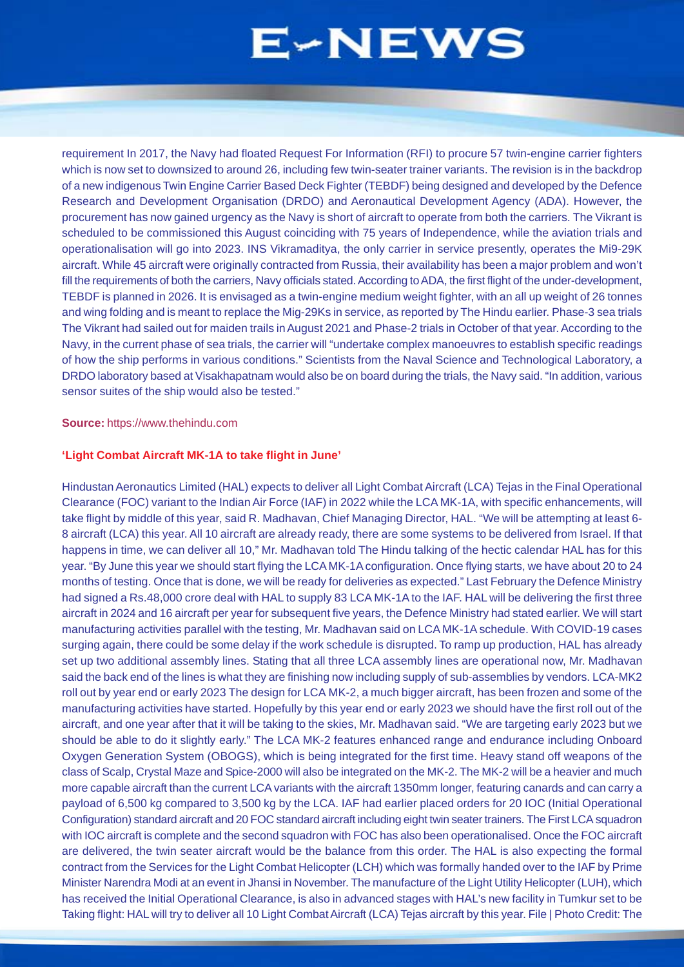<span id="page-4-0"></span>requirement In 2017, the Navy had floated Request For Information (RFI) to procure 57 twin-engine carrier fighters which is now set to downsized to around 26, including few twin-seater trainer variants. The revision is in the backdrop of a new indigenous Twin Engine Carrier Based Deck Fighter (TEBDF) being designed and developed by the Defence Research and Development Organisation (DRDO) and Aeronautical Development Agency (ADA). However, the procurement has now gained urgency as the Navy is short of aircraft to operate from both the carriers. The Vikrant is scheduled to be commissioned this August coinciding with 75 years of Independence, while the aviation trials and operationalisation will go into 2023. INS Vikramaditya, the only carrier in service presently, operates the Mi9-29K aircraft. While 45 aircraft were originally contracted from Russia, their availability has been a major problem and won't fill the requirements of both the carriers, Navy officials stated. According to ADA, the first flight of the under-development, TEBDF is planned in 2026. It is envisaged as a twin-engine medium weight fighter, with an all up weight of 26 tonnes and wing folding and is meant to replace the Mig-29Ks in service, as reported by The Hindu earlier. Phase-3 sea trials The Vikrant had sailed out for maiden trails in August 2021 and Phase-2 trials in October of that year. According to the Navy, in the current phase of sea trials, the carrier will "undertake complex manoeuvres to establish specific readings of how the ship performs in various conditions." Scientists from the Naval Science and Technological Laboratory, a DRDO laboratory based at Visakhapatnam would also be on board during the trials, the Navy said. "In addition, various sensor suites of the ship would also be tested."

### **Source:** https://www.thehindu.com

### **'Light Combat Aircraft MK-1A to take flight in June'**

Hindustan Aeronautics Limited (HAL) expects to deliver all Light Combat Aircraft (LCA) Tejas in the Final Operational Clearance (FOC) variant to the Indian Air Force (IAF) in 2022 while the LCA MK-1A, with specific enhancements, will take flight by middle of this year, said R. Madhavan, Chief Managing Director, HAL. "We will be attempting at least 6- 8 aircraft (LCA) this year. All 10 aircraft are already ready, there are some systems to be delivered from Israel. If that happens in time, we can deliver all 10," Mr. Madhavan told The Hindu talking of the hectic calendar HAL has for this year. "By June this year we should start flying the LCA MK-1A configuration. Once flying starts, we have about 20 to 24 months of testing. Once that is done, we will be ready for deliveries as expected." Last February the Defence Ministry had signed a Rs.48,000 crore deal with HAL to supply 83 LCA MK-1A to the IAF. HAL will be delivering the first three aircraft in 2024 and 16 aircraft per year for subsequent five years, the Defence Ministry had stated earlier. We will start manufacturing activities parallel with the testing, Mr. Madhavan said on LCA MK-1A schedule. With COVID-19 cases surging again, there could be some delay if the work schedule is disrupted. To ramp up production, HAL has already set up two additional assembly lines. Stating that all three LCA assembly lines are operational now. Mr. Madhavan said the back end of the lines is what they are finishing now including supply of sub-assemblies by vendors. LCA-MK2 roll out by year end or early 2023 The design for LCA MK-2, a much bigger aircraft, has been frozen and some of the manufacturing activities have started. Hopefully by this year end or early 2023 we should have the first roll out of the aircraft, and one year after that it will be taking to the skies, Mr. Madhavan said. "We are targeting early 2023 but we should be able to do it slightly early." The LCA MK-2 features enhanced range and endurance including Onboard Oxygen Generation System (OBOGS), which is being integrated for the first time. Heavy stand off weapons of the class of Scalp, Crystal Maze and Spice-2000 will also be integrated on the MK-2. The MK-2 will be a heavier and much more capable aircraft than the current LCA variants with the aircraft 1350mm longer, featuring canards and can carry a payload of 6,500 kg compared to 3,500 kg by the LCA. IAF had earlier placed orders for 20 IOC (Initial Operational Configuration) standard aircraft and 20 FOC standard aircraft including eight twin seater trainers. The First LCA squadron with IOC aircraft is complete and the second squadron with FOC has also been operationalised. Once the FOC aircraft are delivered, the twin seater aircraft would be the balance from this order. The HAL is also expecting the formal contract from the Services for the Light Combat Helicopter (LCH) which was formally handed over to the IAF by Prime Minister Narendra Modi at an event in Jhansi in November. The manufacture of the Light Utility Helicopter (LUH), which has received the Initial Operational Clearance, is also in advanced stages with HAL's new facility in Tumkur set to be Taking flight: HAL will try to deliver all 10 Light Combat Aircraft (LCA) Tejas aircraft by this year. File | Photo Credit: The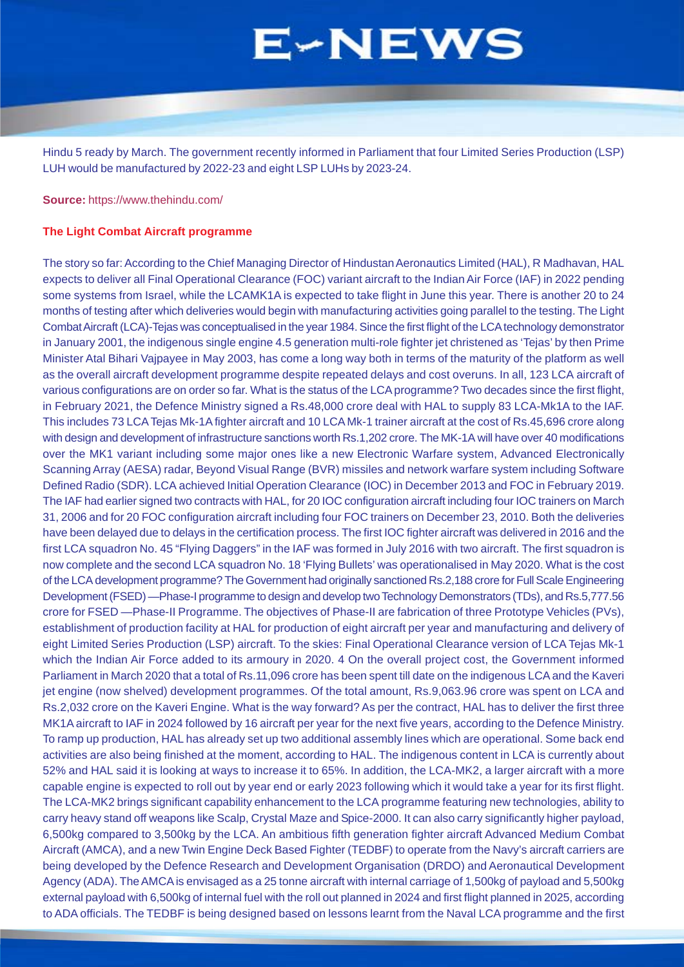Hindu 5 ready by March. The government recently informed in Parliament that four Limited Series Production (LSP) LUH would be manufactured by 2022-23 and eight LSP LUHs by 2023-24.

**Source:** https://www.thehindu.com/

### **The Light Combat Aircraft programme**

The story so far: According to the Chief Managing Director of Hindustan Aeronautics Limited (HAL), R Madhavan, HAL expects to deliver all Final Operational Clearance (FOC) variant aircraft to the Indian Air Force (IAF) in 2022 pending some systems from Israel, while the LCAMK1A is expected to take flight in June this year. There is another 20 to 24 months of testing after which deliveries would begin with manufacturing activities going parallel to the testing. The Light Combat Aircraft (LCA)-Tejas was conceptualised in the year 1984. Since the first flight of the LCA technology demonstrator in January 2001, the indigenous single engine 4.5 generation multi-role fighter jet christened as 'Tejas' by then Prime Minister Atal Bihari Vajpayee in May 2003, has come a long way both in terms of the maturity of the platform as well as the overall aircraft development programme despite repeated delays and cost overuns. In all, 123 LCA aircraft of various configurations are on order so far. What is the status of the LCA programme? Two decades since the first flight, in February 2021, the Defence Ministry signed a Rs.48,000 crore deal with HAL to supply 83 LCA-Mk1A to the IAF. This includes 73 LCA Tejas Mk-1A fighter aircraft and 10 LCA Mk-1 trainer aircraft at the cost of Rs.45,696 crore along with design and development of infrastructure sanctions worth Rs.1,202 crore. The MK-1A will have over 40 modifications over the MK1 variant including some major ones like a new Electronic Warfare system, Advanced Electronically Scanning Array (AESA) radar, Beyond Visual Range (BVR) missiles and network warfare system including Software Defined Radio (SDR). LCA achieved Initial Operation Clearance (IOC) in December 2013 and FOC in February 2019. The IAF had earlier signed two contracts with HAL, for 20 IOC configuration aircraft including four IOC trainers on March 31, 2006 and for 20 FOC configuration aircraft including four FOC trainers on December 23, 2010. Both the deliveries have been delayed due to delays in the certification process. The first IOC fighter aircraft was delivered in 2016 and the first LCA squadron No. 45 "Flying Daggers" in the IAF was formed in July 2016 with two aircraft. The first squadron is now complete and the second LCA squadron No. 18 'Flying Bullets' was operationalised in May 2020. What is the cost of the LCA development programme? The Government had originally sanctioned Rs.2,188 crore for Full Scale Engineering Development (FSED) —Phase-I programme to design and develop two Technology Demonstrators (TDs), and Rs.5,777.56 crore for FSED —Phase-II Programme. The objectives of Phase-II are fabrication of three Prototype Vehicles (PVs), establishment of production facility at HAL for production of eight aircraft per year and manufacturing and delivery of eight Limited Series Production (LSP) aircraft. To the skies: Final Operational Clearance version of LCA Tejas Mk-1 which the Indian Air Force added to its armoury in 2020. 4 On the overall project cost, the Government informed Parliament in March 2020 that a total of Rs.11,096 crore has been spent till date on the indigenous LCA and the Kaveri jet engine (now shelved) development programmes. Of the total amount, Rs.9,063.96 crore was spent on LCA and Rs.2,032 crore on the Kaveri Engine. What is the way forward? As per the contract, HAL has to deliver the first three MK1A aircraft to IAF in 2024 followed by 16 aircraft per year for the next five years, according to the Defence Ministry. To ramp up production, HAL has already set up two additional assembly lines which are operational. Some back end activities are also being finished at the moment, according to HAL. The indigenous content in LCA is currently about 52% and HAL said it is looking at ways to increase it to 65%. In addition, the LCA-MK2, a larger aircraft with a more capable engine is expected to roll out by year end or early 2023 following which it would take a year for its first flight. The LCA-MK2 brings significant capability enhancement to the LCA programme featuring new technologies, ability to carry heavy stand off weapons like Scalp, Crystal Maze and Spice-2000. It can also carry significantly higher payload, 6,500kg compared to 3,500kg by the LCA. An ambitious fifth generation fighter aircraft Advanced Medium Combat Aircraft (AMCA), and a new Twin Engine Deck Based Fighter (TEDBF) to operate from the Navy's aircraft carriers are being developed by the Defence Research and Development Organisation (DRDO) and Aeronautical Development Agency (ADA). The AMCA is envisaged as a 25 tonne aircraft with internal carriage of 1,500kg of payload and 5,500kg external payload with 6,500kg of internal fuel with the roll out planned in 2024 and first flight planned in 2025, according to ADA officials. The TEDBF is being designed based on lessons learnt from the Naval LCA programme and the first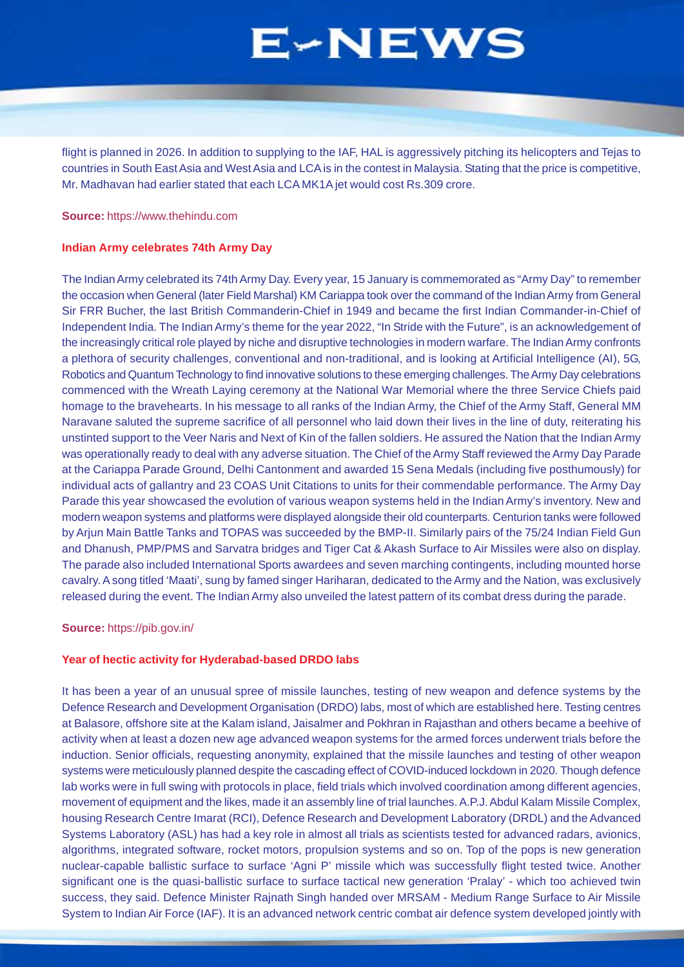flight is planned in 2026. In addition to supplying to the IAF, HAL is aggressively pitching its helicopters and Tejas to countries in South East Asia and West Asia and LCA is in the contest in Malaysia. Stating that the price is competitive, Mr. Madhavan had earlier stated that each LCA MK1A jet would cost Rs.309 crore.

#### **Source:** https://www.thehindu.com

### **Indian Army celebrates 74th Army Day**

The Indian Army celebrated its 74th Army Day. Every year, 15 January is commemorated as "Army Day" to remember the occasion when General (later Field Marshal) KM Cariappa took over the command of the Indian Army from General Sir FRR Bucher, the last British Commanderin-Chief in 1949 and became the first Indian Commander-in-Chief of Independent India. The Indian Army's theme for the year 2022, "In Stride with the Future", is an acknowledgement of the increasingly critical role played by niche and disruptive technologies in modern warfare. The Indian Army confronts a plethora of security challenges, conventional and non-traditional, and is looking at Artificial Intelligence (AI), 5G, Robotics and Quantum Technology to find innovative solutions to these emerging challenges. The Army Day celebrations commenced with the Wreath Laying ceremony at the National War Memorial where the three Service Chiefs paid homage to the bravehearts. In his message to all ranks of the Indian Army, the Chief of the Army Staff, General MM Naravane saluted the supreme sacrifice of all personnel who laid down their lives in the line of duty, reiterating his unstinted support to the Veer Naris and Next of Kin of the fallen soldiers. He assured the Nation that the Indian Army was operationally ready to deal with any adverse situation. The Chief of the Army Staff reviewed the Army Day Parade at the Cariappa Parade Ground, Delhi Cantonment and awarded 15 Sena Medals (including five posthumously) for individual acts of gallantry and 23 COAS Unit Citations to units for their commendable performance. The Army Day Parade this year showcased the evolution of various weapon systems held in the Indian Army's inventory. New and modern weapon systems and platforms were displayed alongside their old counterparts. Centurion tanks were followed by Arjun Main Battle Tanks and TOPAS was succeeded by the BMP-II. Similarly pairs of the 75/24 Indian Field Gun and Dhanush, PMP/PMS and Sarvatra bridges and Tiger Cat & Akash Surface to Air Missiles were also on display. The parade also included International Sports awardees and seven marching contingents, including mounted horse cavalry. A song titled 'Maati', sung by famed singer Hariharan, dedicated to the Army and the Nation, was exclusively released during the event. The Indian Army also unveiled the latest pattern of its combat dress during the parade.

#### **Source:** https://pib.gov.in/

#### **Year of hectic activity for Hyderabad-based DRDO labs**

It has been a year of an unusual spree of missile launches, testing of new weapon and defence systems by the Defence Research and Development Organisation (DRDO) labs, most of which are established here. Testing centres at Balasore, offshore site at the Kalam island, Jaisalmer and Pokhran in Rajasthan and others became a beehive of activity when at least a dozen new age advanced weapon systems for the armed forces underwent trials before the induction. Senior officials, requesting anonymity, explained that the missile launches and testing of other weapon systems were meticulously planned despite the cascading effect of COVID-induced lockdown in 2020. Though defence lab works were in full swing with protocols in place, field trials which involved coordination among different agencies, movement of equipment and the likes, made it an assembly line of trial launches. A.P.J. Abdul Kalam Missile Complex, housing Research Centre Imarat (RCI), Defence Research and Development Laboratory (DRDL) and the Advanced Systems Laboratory (ASL) has had a key role in almost all trials as scientists tested for advanced radars, avionics, algorithms, integrated software, rocket motors, propulsion systems and so on. Top of the pops is new generation nuclear-capable ballistic surface to surface 'Agni P' missile which was successfully flight tested twice. Another significant one is the quasi-ballistic surface to surface tactical new generation 'Pralay' - which too achieved twin success, they said. Defence Minister Rajnath Singh handed over MRSAM - Medium Range Surface to Air Missile System to Indian Air Force (IAF). It is an advanced network centric combat air defence system developed jointly with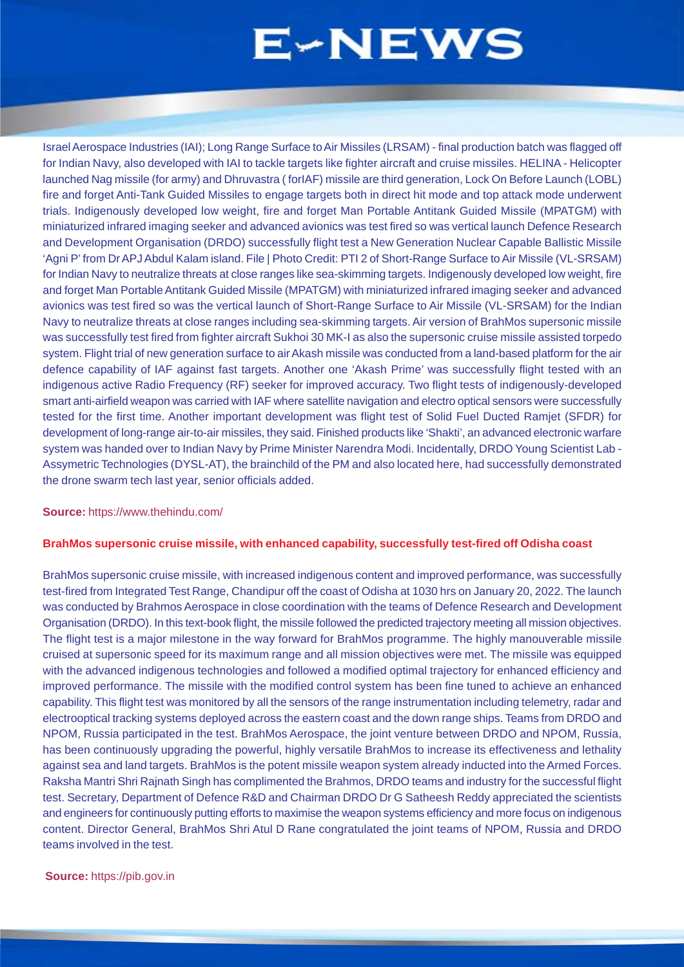<span id="page-7-0"></span>Israel Aerospace Industries (IAI); Long Range Surface to Air Missiles (LRSAM) - final production batch was flagged off for Indian Navy, also developed with IAI to tackle targets like fighter aircraft and cruise missiles. HELINA - Helicopter launched Nag missile (for army) and Dhruvastra ( forIAF) missile are third generation, Lock On Before Launch (LOBL) fire and forget Anti-Tank Guided Missiles to engage targets both in direct hit mode and top attack mode underwent trials. Indigenously developed low weight, fire and forget Man Portable Antitank Guided Missile (MPATGM) with miniaturized infrared imaging seeker and advanced avionics was test fired so was vertical launch Defence Research and Development Organisation (DRDO) successfully flight test a New Generation Nuclear Capable Ballistic Missile 'Agni P' from Dr APJ Abdul Kalam island. File | Photo Credit: PTI 2 of Short-Range Surface to Air Missile (VL-SRSAM) for Indian Navy to neutralize threats at close ranges like sea-skimming targets. Indigenously developed low weight, fire and forget Man Portable Antitank Guided Missile (MPATGM) with miniaturized infrared imaging seeker and advanced avionics was test fired so was the vertical launch of Short-Range Surface to Air Missile (VL-SRSAM) for the Indian Navy to neutralize threats at close ranges including sea-skimming targets. Air version of BrahMos supersonic missile was successfully test fired from fighter aircraft Sukhoi 30 MK-I as also the supersonic cruise missile assisted torpedo system. Flight trial of new generation surface to air Akash missile was conducted from a land-based platform for the air defence capability of IAF against fast targets. Another one 'Akash Prime' was successfully flight tested with an indigenous active Radio Frequency (RF) seeker for improved accuracy. Two flight tests of indigenously-developed smart anti-airfield weapon was carried with IAF where satellite navigation and electro optical sensors were successfully tested for the first time. Another important development was flight test of Solid Fuel Ducted Ramjet (SFDR) for development of long-range air-to-air missiles, they said. Finished products like 'Shakti', an advanced electronic warfare system was handed over to Indian Navy by Prime Minister Narendra Modi. Incidentally, DRDO Young Scientist Lab - Assymetric Technologies (DYSL-AT), the brainchild of the PM and also located here, had successfully demonstrated the drone swarm tech last year, senior officials added.

#### **Source:** https://www.thehindu.com/

### **BrahMos supersonic cruise missile, with enhanced capability, successfully test-fired off Odisha coast**

BrahMos supersonic cruise missile, with increased indigenous content and improved performance, was successfully test-fired from Integrated Test Range, Chandipur off the coast of Odisha at 1030 hrs on January 20, 2022. The launch was conducted by Brahmos Aerospace in close coordination with the teams of Defence Research and Development Organisation (DRDO). In this text-book flight, the missile followed the predicted trajectory meeting all mission objectives. The flight test is a major milestone in the way forward for BrahMos programme. The highly manouverable missile cruised at supersonic speed for its maximum range and all mission objectives were met. The missile was equipped with the advanced indigenous technologies and followed a modified optimal trajectory for enhanced efficiency and improved performance. The missile with the modified control system has been fine tuned to achieve an enhanced capability. This flight test was monitored by all the sensors of the range instrumentation including telemetry, radar and electrooptical tracking systems deployed across the eastern coast and the down range ships. Teams from DRDO and NPOM, Russia participated in the test. BrahMos Aerospace, the joint venture between DRDO and NPOM, Russia, has been continuously upgrading the powerful, highly versatile BrahMos to increase its effectiveness and lethality against sea and land targets. BrahMos is the potent missile weapon system already inducted into the Armed Forces. Raksha Mantri Shri Rajnath Singh has complimented the Brahmos, DRDO teams and industry for the successful flight test. Secretary, Department of Defence R&D and Chairman DRDO Dr G Satheesh Reddy appreciated the scientists and engineers for continuously putting efforts to maximise the weapon systems efficiency and more focus on indigenous content. Director General, BrahMos Shri Atul D Rane congratulated the joint teams of NPOM, Russia and DRDO teams involved in the test.

### **Source:** https://pib.gov.in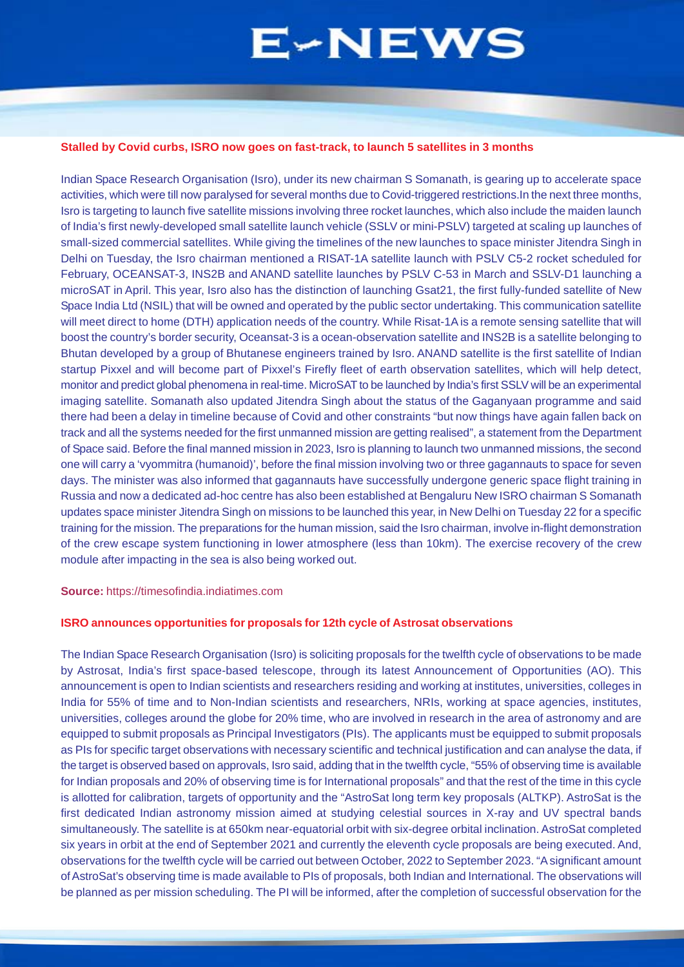### **Stalled by Covid curbs, ISRO now goes on fast-track, to launch 5 satellites in 3 months**

Indian Space Research Organisation (Isro), under its new chairman S Somanath, is gearing up to accelerate space activities, which were till now paralysed for several months due to Covid-triggered restrictions.In the next three months, Isro is targeting to launch five satellite missions involving three rocket launches, which also include the maiden launch of India's first newly-developed small satellite launch vehicle (SSLV or mini-PSLV) targeted at scaling up launches of small-sized commercial satellites. While giving the timelines of the new launches to space minister Jitendra Singh in Delhi on Tuesday, the Isro chairman mentioned a RISAT-1A satellite launch with PSLV C5-2 rocket scheduled for February, OCEANSAT-3, INS2B and ANAND satellite launches by PSLV C-53 in March and SSLV-D1 launching a microSAT in April. This year, Isro also has the distinction of launching Gsat21, the first fully-funded satellite of New Space India Ltd (NSIL) that will be owned and operated by the public sector undertaking. This communication satellite will meet direct to home (DTH) application needs of the country. While Risat-1A is a remote sensing satellite that will boost the country's border security, Oceansat-3 is a ocean-observation satellite and INS2B is a satellite belonging to Bhutan developed by a group of Bhutanese engineers trained by Isro. ANAND satellite is the first satellite of Indian startup Pixxel and will become part of Pixxel's Firefly fleet of earth observation satellites, which will help detect, monitor and predict global phenomena in real-time. MicroSAT to be launched by India's first SSLV will be an experimental imaging satellite. Somanath also updated Jitendra Singh about the status of the Gaganyaan programme and said there had been a delay in timeline because of Covid and other constraints "but now things have again fallen back on track and all the systems needed for the first unmanned mission are getting realised", a statement from the Department of Space said. Before the final manned mission in 2023, Isro is planning to launch two unmanned missions, the second one will carry a 'vyommitra (humanoid)', before the final mission involving two or three gagannauts to space for seven days. The minister was also informed that gagannauts have successfully undergone generic space flight training in Russia and now a dedicated ad-hoc centre has also been established at Bengaluru New ISRO chairman S Somanath updates space minister Jitendra Singh on missions to be launched this year, in New Delhi on Tuesday 22 for a specific training for the mission. The preparations for the human mission, said the Isro chairman, involve in-flight demonstration of the crew escape system functioning in lower atmosphere (less than 10km). The exercise recovery of the crew module after impacting in the sea is also being worked out.

**Source:** https://timesofindia.indiatimes.com

### **ISRO announces opportunities for proposals for 12th cycle of Astrosat observations**

The Indian Space Research Organisation (Isro) is soliciting proposals for the twelfth cycle of observations to be made by Astrosat, India's first space-based telescope, through its latest Announcement of Opportunities (AO). This announcement is open to Indian scientists and researchers residing and working at institutes, universities, colleges in India for 55% of time and to Non-Indian scientists and researchers, NRIs, working at space agencies, institutes, universities, colleges around the globe for 20% time, who are involved in research in the area of astronomy and are equipped to submit proposals as Principal Investigators (PIs). The applicants must be equipped to submit proposals as PIs for specific target observations with necessary scientific and technical justification and can analyse the data, if the target is observed based on approvals, Isro said, adding that in the twelfth cycle, "55% of observing time is available for Indian proposals and 20% of observing time is for International proposals" and that the rest of the time in this cycle is allotted for calibration, targets of opportunity and the "AstroSat long term key proposals (ALTKP). AstroSat is the first dedicated Indian astronomy mission aimed at studying celestial sources in X-ray and UV spectral bands simultaneously. The satellite is at 650km near-equatorial orbit with six-degree orbital inclination. AstroSat completed six years in orbit at the end of September 2021 and currently the eleventh cycle proposals are being executed. And, observations for the twelfth cycle will be carried out between October, 2022 to September 2023. "A significant amount of AstroSat's observing time is made available to PIs of proposals, both Indian and International. The observations will be planned as per mission scheduling. The PI will be informed, after the completion of successful observation for the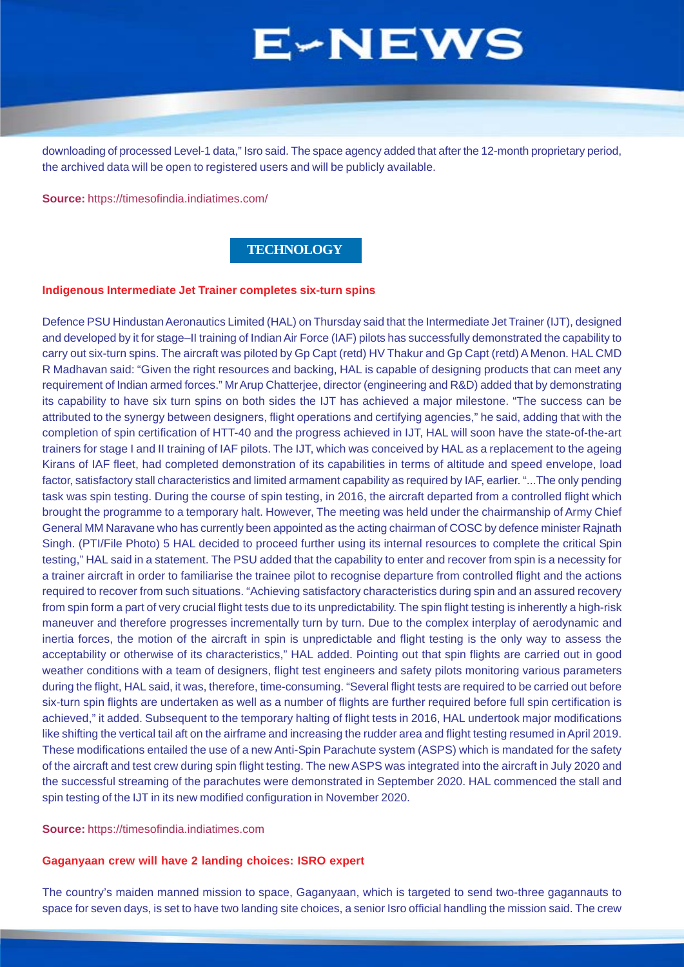<span id="page-9-0"></span>downloading of processed Level-1 data," Isro said. The space agency added that after the 12-month proprietary period, the archived data will be open to registered users and will be publicly available.

**Source:** https://timesofindia.indiatimes.com/

### **TECHNOLOGY**

#### **Indigenous Intermediate Jet Trainer completes six-turn spins**

Defence PSU Hindustan Aeronautics Limited (HAL) on Thursday said that the Intermediate Jet Trainer (IJT), designed and developed by it for stage–II training of Indian Air Force (IAF) pilots has successfully demonstrated the capability to carry out six-turn spins. The aircraft was piloted by Gp Capt (retd) HV Thakur and Gp Capt (retd) A Menon. HAL CMD R Madhavan said: "Given the right resources and backing, HAL is capable of designing products that can meet any requirement of Indian armed forces." Mr Arup Chatterjee, director (engineering and R&D) added that by demonstrating its capability to have six turn spins on both sides the IJT has achieved a major milestone. "The success can be attributed to the synergy between designers, flight operations and certifying agencies," he said, adding that with the completion of spin certification of HTT-40 and the progress achieved in IJT, HAL will soon have the state-of-the-art trainers for stage I and II training of IAF pilots. The IJT, which was conceived by HAL as a replacement to the ageing Kirans of IAF fleet, had completed demonstration of its capabilities in terms of altitude and speed envelope, load factor, satisfactory stall characteristics and limited armament capability as required by IAF, earlier. "...The only pending task was spin testing. During the course of spin testing, in 2016, the aircraft departed from a controlled flight which brought the programme to a temporary halt. However, The meeting was held under the chairmanship of Army Chief General MM Naravane who has currently been appointed as the acting chairman of COSC by defence minister Rajnath Singh. (PTI/File Photo) 5 HAL decided to proceed further using its internal resources to complete the critical Spin testing," HAL said in a statement. The PSU added that the capability to enter and recover from spin is a necessity for a trainer aircraft in order to familiarise the trainee pilot to recognise departure from controlled flight and the actions required to recover from such situations. "Achieving satisfactory characteristics during spin and an assured recovery from spin form a part of very crucial flight tests due to its unpredictability. The spin flight testing is inherently a high-risk maneuver and therefore progresses incrementally turn by turn. Due to the complex interplay of aerodynamic and inertia forces, the motion of the aircraft in spin is unpredictable and flight testing is the only way to assess the acceptability or otherwise of its characteristics," HAL added. Pointing out that spin flights are carried out in good weather conditions with a team of designers, flight test engineers and safety pilots monitoring various parameters during the flight, HAL said, it was, therefore, time-consuming. "Several flight tests are required to be carried out before six-turn spin flights are undertaken as well as a number of flights are further required before full spin certification is achieved," it added. Subsequent to the temporary halting of flight tests in 2016, HAL undertook major modifications like shifting the vertical tail aft on the airframe and increasing the rudder area and flight testing resumed in April 2019. These modifications entailed the use of a new Anti-Spin Parachute system (ASPS) which is mandated for the safety of the aircraft and test crew during spin flight testing. The new ASPS was integrated into the aircraft in July 2020 and the successful streaming of the parachutes were demonstrated in September 2020. HAL commenced the stall and spin testing of the IJT in its new modified configuration in November 2020.

**Source:** https://timesofindia.indiatimes.com

### **Gaganyaan crew will have 2 landing choices: ISRO expert**

The country's maiden manned mission to space, Gaganyaan, which is targeted to send two-three gagannauts to space for seven days, is set to have two landing site choices, a senior Isro official handling the mission said. The crew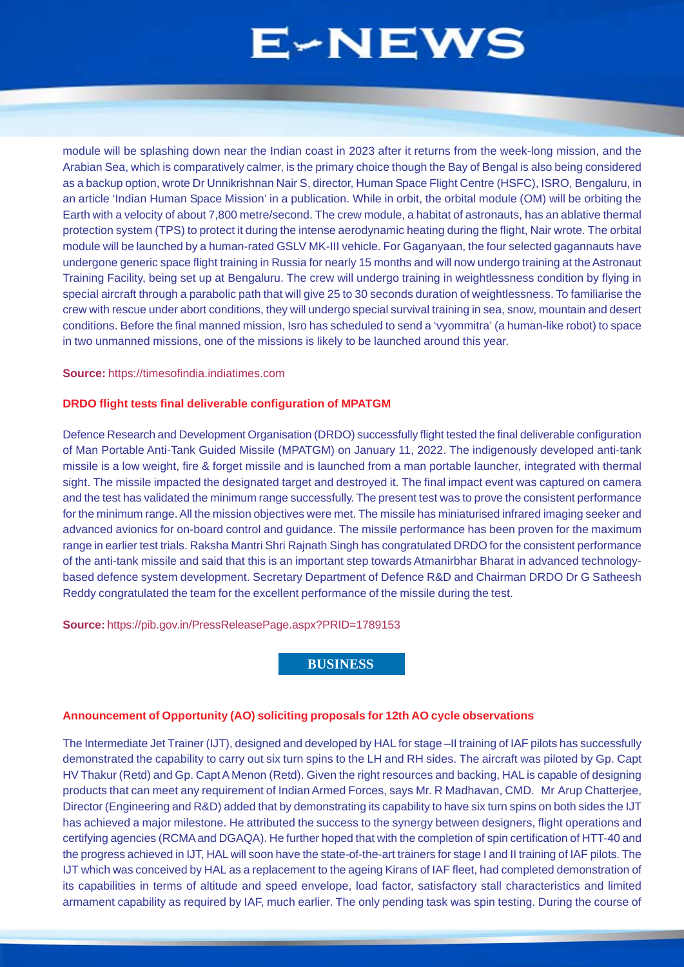<span id="page-10-0"></span>module will be splashing down near the Indian coast in 2023 after it returns from the week-long mission, and the Arabian Sea, which is comparatively calmer, is the primary choice though the Bay of Bengal is also being considered as a backup option, wrote Dr Unnikrishnan Nair S, director, Human Space Flight Centre (HSFC), ISRO, Bengaluru, in an article 'Indian Human Space Mission' in a publication. While in orbit, the orbital module (OM) will be orbiting the Earth with a velocity of about 7,800 metre/second. The crew module, a habitat of astronauts, has an ablative thermal protection system (TPS) to protect it during the intense aerodynamic heating during the flight, Nair wrote. The orbital module will be launched by a human-rated GSLV MK-III vehicle. For Gaganyaan, the four selected gagannauts have undergone generic space flight training in Russia for nearly 15 months and will now undergo training at the Astronaut Training Facility, being set up at Bengaluru. The crew will undergo training in weightlessness condition by flying in special aircraft through a parabolic path that will give 25 to 30 seconds duration of weightlessness. To familiarise the crew with rescue under abort conditions, they will undergo special survival training in sea, snow, mountain and desert conditions. Before the final manned mission, Isro has scheduled to send a 'vyommitra' (a human-like robot) to space in two unmanned missions, one of the missions is likely to be launched around this year.

### **Source:** https://timesofindia.indiatimes.com

### **DRDO flight tests final deliverable configuration of MPATGM**

Defence Research and Development Organisation (DRDO) successfully flight tested the final deliverable configuration of Man Portable Anti-Tank Guided Missile (MPATGM) on January 11, 2022. The indigenously developed anti-tank missile is a low weight, fire & forget missile and is launched from a man portable launcher, integrated with thermal sight. The missile impacted the designated target and destroyed it. The final impact event was captured on camera and the test has validated the minimum range successfully. The present test was to prove the consistent performance for the minimum range. All the mission objectives were met. The missile has miniaturised infrared imaging seeker and advanced avionics for on-board control and guidance. The missile performance has been proven for the maximum range in earlier test trials. Raksha Mantri Shri Rajnath Singh has congratulated DRDO for the consistent performance of the anti-tank missile and said that this is an important step towards Atmanirbhar Bharat in advanced technologybased defence system development. Secretary Department of Defence R&D and Chairman DRDO Dr G Satheesh Reddy congratulated the team for the excellent performance of the missile during the test.

**Source:** https://pib.gov.in/PressReleasePage.aspx?PRID=1789153

### **BUSINESS**

### **Announcement of Opportunity (AO) soliciting proposals for 12th AO cycle observations**

The Intermediate Jet Trainer (IJT), designed and developed by HAL for stage –II training of IAF pilots has successfully demonstrated the capability to carry out six turn spins to the LH and RH sides. The aircraft was piloted by Gp. Capt HV Thakur (Retd) and Gp. Capt A Menon (Retd). Given the right resources and backing, HAL is capable of designing products that can meet any requirement of Indian Armed Forces, says Mr. R Madhavan, CMD. Mr Arup Chatterjee, Director (Engineering and R&D) added that by demonstrating its capability to have six turn spins on both sides the IJT has achieved a major milestone. He attributed the success to the synergy between designers, flight operations and certifying agencies (RCMA and DGAQA). He further hoped that with the completion of spin certification of HTT-40 and the progress achieved in IJT, HAL will soon have the state-of-the-art trainers for stage I and II training of IAF pilots. The IJT which was conceived by HAL as a replacement to the ageing Kirans of IAF fleet, had completed demonstration of its capabilities in terms of altitude and speed envelope, load factor, satisfactory stall characteristics and limited armament capability as required by IAF, much earlier. The only pending task was spin testing. During the course of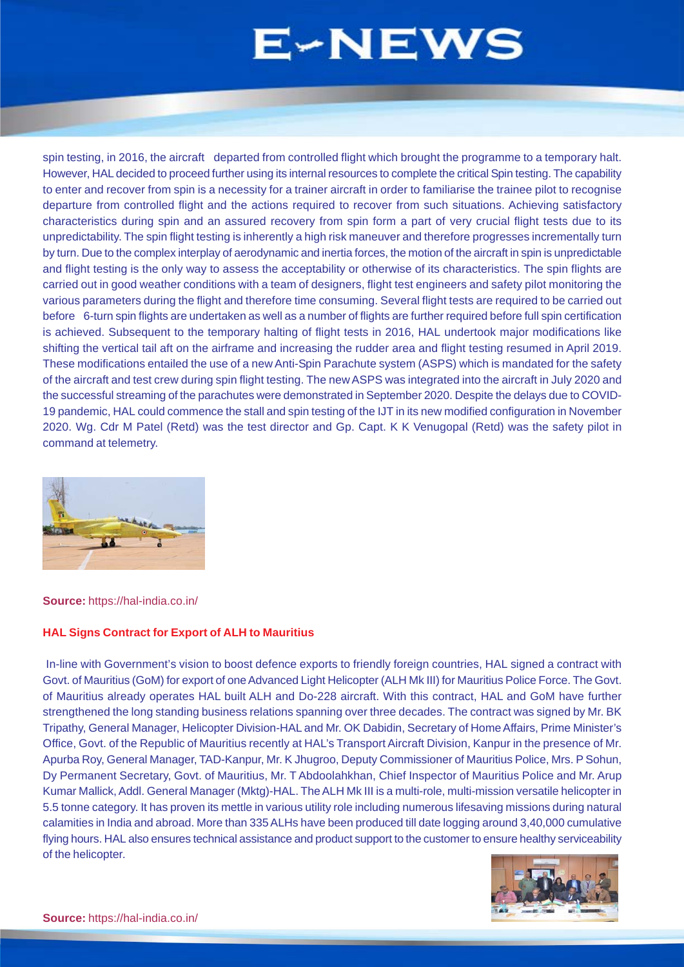spin testing, in 2016, the aircraft departed from controlled flight which brought the programme to a temporary halt. However, HAL decided to proceed further using its internal resources to complete the critical Spin testing. The capability to enter and recover from spin is a necessity for a trainer aircraft in order to familiarise the trainee pilot to recognise departure from controlled flight and the actions required to recover from such situations. Achieving satisfactory characteristics during spin and an assured recovery from spin form a part of very crucial flight tests due to its unpredictability. The spin flight testing is inherently a high risk maneuver and therefore progresses incrementally turn by turn. Due to the complex interplay of aerodynamic and inertia forces, the motion of the aircraft in spin is unpredictable and flight testing is the only way to assess the acceptability or otherwise of its characteristics. The spin flights are carried out in good weather conditions with a team of designers, flight test engineers and safety pilot monitoring the various parameters during the flight and therefore time consuming. Several flight tests are required to be carried out before 6-turn spin flights are undertaken as well as a number of flights are further required before full spin certification is achieved. Subsequent to the temporary halting of flight tests in 2016, HAL undertook major modifications like shifting the vertical tail aft on the airframe and increasing the rudder area and flight testing resumed in April 2019. These modifications entailed the use of a new Anti-Spin Parachute system (ASPS) which is mandated for the safety of the aircraft and test crew during spin flight testing. The new ASPS was integrated into the aircraft in July 2020 and the successful streaming of the parachutes were demonstrated in September 2020. Despite the delays due to COVID-19 pandemic, HAL could commence the stall and spin testing of the IJT in its new modified configuration in November 2020. Wg. Cdr M Patel (Retd) was the test director and Gp. Capt. K K Venugopal (Retd) was the safety pilot in command at telemetry.



**Source:** https://hal-india.co.in/

### **HAL Signs Contract for Export of ALH to Mauritius**

 In-line with Government's vision to boost defence exports to friendly foreign countries, HAL signed a contract with Govt. of Mauritius (GoM) for export of one Advanced Light Helicopter (ALH Mk III) for Mauritius Police Force. The Govt. of Mauritius already operates HAL built ALH and Do-228 aircraft. With this contract, HAL and GoM have further strengthened the long standing business relations spanning over three decades. The contract was signed by Mr. BK Tripathy, General Manager, Helicopter Division-HAL and Mr. OK Dabidin, Secretary of Home Affairs, Prime Minister's Office, Govt. of the Republic of Mauritius recently at HAL's Transport Aircraft Division, Kanpur in the presence of Mr. Apurba Roy, General Manager, TAD-Kanpur, Mr. K Jhugroo, Deputy Commissioner of Mauritius Police, Mrs. P Sohun, Dy Permanent Secretary, Govt. of Mauritius, Mr. T Abdoolahkhan, Chief Inspector of Mauritius Police and Mr. Arup Kumar Mallick, Addl. General Manager (Mktg)-HAL. The ALH Mk III is a multi-role, multi-mission versatile helicopter in 5.5 tonne category. It has proven its mettle in various utility role including numerous lifesaving missions during natural calamities in India and abroad. More than 335 ALHs have been produced till date logging around 3,40,000 cumulative flying hours. HAL also ensures technical assistance and product support to the customer to ensure healthy serviceability of the helicopter.

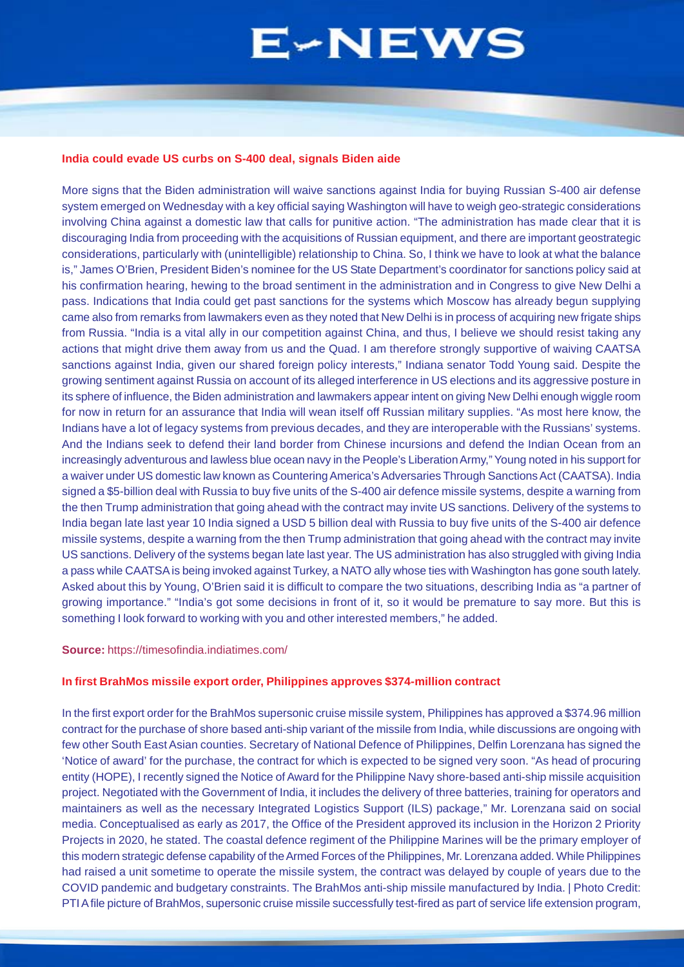#### **India could evade US curbs on S-400 deal, signals Biden aide**

More signs that the Biden administration will waive sanctions against India for buying Russian S-400 air defense system emerged on Wednesday with a key official saying Washington will have to weigh geo-strategic considerations involving China against a domestic law that calls for punitive action. "The administration has made clear that it is discouraging India from proceeding with the acquisitions of Russian equipment, and there are important geostrategic considerations, particularly with (unintelligible) relationship to China. So, I think we have to look at what the balance is," James O'Brien, President Biden's nominee for the US State Department's coordinator for sanctions policy said at his confirmation hearing, hewing to the broad sentiment in the administration and in Congress to give New Delhi a pass. Indications that India could get past sanctions for the systems which Moscow has already begun supplying came also from remarks from lawmakers even as they noted that New Delhi is in process of acquiring new frigate ships from Russia. "India is a vital ally in our competition against China, and thus, I believe we should resist taking any actions that might drive them away from us and the Quad. I am therefore strongly supportive of waiving CAATSA sanctions against India, given our shared foreign policy interests," Indiana senator Todd Young said. Despite the growing sentiment against Russia on account of its alleged interference in US elections and its aggressive posture in its sphere of influence, the Biden administration and lawmakers appear intent on giving New Delhi enough wiggle room for now in return for an assurance that India will wean itself off Russian military supplies. "As most here know, the Indians have a lot of legacy systems from previous decades, and they are interoperable with the Russians' systems. And the Indians seek to defend their land border from Chinese incursions and defend the Indian Ocean from an increasingly adventurous and lawless blue ocean navy in the People's Liberation Army," Young noted in his support for a waiver under US domestic law known as Countering America's Adversaries Through Sanctions Act (CAATSA). India signed a \$5-billion deal with Russia to buy five units of the S-400 air defence missile systems, despite a warning from the then Trump administration that going ahead with the contract may invite US sanctions. Delivery of the systems to India began late last year 10 India signed a USD 5 billion deal with Russia to buy five units of the S-400 air defence missile systems, despite a warning from the then Trump administration that going ahead with the contract may invite US sanctions. Delivery of the systems began late last year. The US administration has also struggled with giving India a pass while CAATSA is being invoked against Turkey, a NATO ally whose ties with Washington has gone south lately. Asked about this by Young, O'Brien said it is difficult to compare the two situations, describing India as "a partner of growing importance." "India's got some decisions in front of it, so it would be premature to say more. But this is something I look forward to working with you and other interested members," he added.

#### **Source:** https://timesofindia.indiatimes.com/

#### **In first BrahMos missile export order, Philippines approves \$374-million contract**

In the first export order for the BrahMos supersonic cruise missile system, Philippines has approved a \$374.96 million contract for the purchase of shore based anti-ship variant of the missile from India, while discussions are ongoing with few other South East Asian counties. Secretary of National Defence of Philippines, Delfin Lorenzana has signed the 'Notice of award' for the purchase, the contract for which is expected to be signed very soon. "As head of procuring entity (HOPE), I recently signed the Notice of Award for the Philippine Navy shore-based anti-ship missile acquisition project. Negotiated with the Government of India, it includes the delivery of three batteries, training for operators and maintainers as well as the necessary Integrated Logistics Support (ILS) package," Mr. Lorenzana said on social media. Conceptualised as early as 2017, the Office of the President approved its inclusion in the Horizon 2 Priority Projects in 2020, he stated. The coastal defence regiment of the Philippine Marines will be the primary employer of this modern strategic defense capability of the Armed Forces of the Philippines, Mr. Lorenzana added. While Philippines had raised a unit sometime to operate the missile system, the contract was delayed by couple of years due to the COVID pandemic and budgetary constraints. The BrahMos anti-ship missile manufactured by India. | Photo Credit: PTI A file picture of BrahMos, supersonic cruise missile successfully test-fired as part of service life extension program,